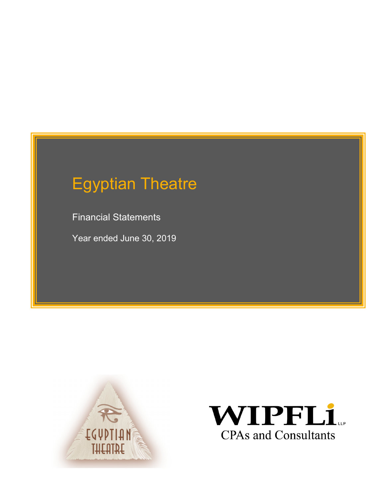**Financial Statements** 

Year ended June 30, 2019



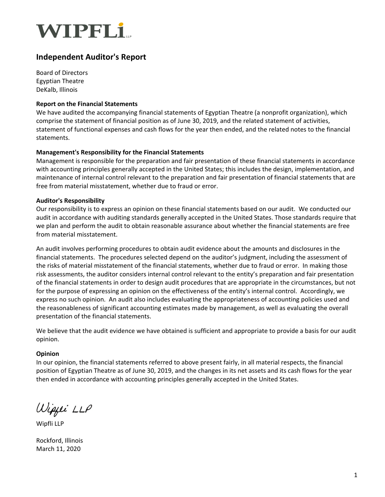

# **Independent Auditor's Report**

Board of Directors Egyptian Theatre DeKalb, Illinois

#### **Report on the Financial Statements**

We have audited the accompanying financial statements of Egyptian Theatre (a nonprofit organization), which comprise the statement of financial position as of June 30, 2019, and the related statement of activities, statement of functional expenses and cash flows for the year then ended, and the related notes to the financial statements.

#### **Management's Responsibility for the Financial Statements**

Management is responsible for the preparation and fair presentation of these financial statements in accordance with accounting principles generally accepted in the United States; this includes the design, implementation, and maintenance of internal control relevant to the preparation and fair presentation of financial statements that are free from material misstatement, whether due to fraud or error.

#### **Auditor's Responsibility**

Our responsibility is to express an opinion on these financial statements based on our audit. We conducted our audit in accordance with auditing standards generally accepted in the United States. Those standards require that we plan and perform the audit to obtain reasonable assurance about whether the financial statements are free from material misstatement.

An audit involves performing procedures to obtain audit evidence about the amounts and disclosures in the financial statements. The procedures selected depend on the auditor's judgment, including the assessment of the risks of material misstatement of the financial statements, whether due to fraud or error. In making those risk assessments, the auditor considers internal control relevant to the entity's preparation and fair presentation of the financial statements in order to design audit procedures that are appropriate in the circumstances, but not for the purpose of expressing an opinion on the effectiveness of the entity's internal control. Accordingly, we express no such opinion. An audit also includes evaluating the appropriateness of accounting policies used and the reasonableness of significant accounting estimates made by management, as well as evaluating the overall presentation of the financial statements.

We believe that the audit evidence we have obtained is sufficient and appropriate to provide a basis for our audit opinion.

#### **Opinion**

In our opinion, the financial statements referred to above present fairly, in all material respects, the financial position of Egyptian Theatre as of June 30, 2019, and the changes in its net assets and its cash flows for the year then ended in accordance with accounting principles generally accepted in the United States.

Wippei LLP

Wipfli LLP

Rockford, Illinois March 11, 2020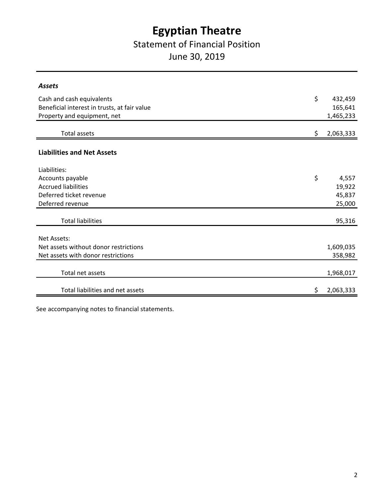# Statement of Financial Position

June 30, 2019

| <b>Assets</b>                                |     |           |
|----------------------------------------------|-----|-----------|
| Cash and cash equivalents                    | \$  | 432,459   |
| Beneficial interest in trusts, at fair value |     | 165,641   |
| Property and equipment, net                  |     | 1,465,233 |
|                                              |     |           |
| Total assets                                 | \$  | 2,063,333 |
|                                              |     |           |
| <b>Liabilities and Net Assets</b>            |     |           |
|                                              |     |           |
| Liabilities:                                 |     |           |
| Accounts payable                             | \$  | 4,557     |
| <b>Accrued liabilities</b>                   |     | 19,922    |
| Deferred ticket revenue                      |     | 45,837    |
| Deferred revenue                             |     | 25,000    |
|                                              |     |           |
| <b>Total liabilities</b>                     |     | 95,316    |
|                                              |     |           |
| Net Assets:                                  |     |           |
| Net assets without donor restrictions        |     | 1,609,035 |
| Net assets with donor restrictions           |     | 358,982   |
|                                              |     |           |
| Total net assets                             |     | 1,968,017 |
|                                              |     |           |
| Total liabilities and net assets             | \$. | 2,063,333 |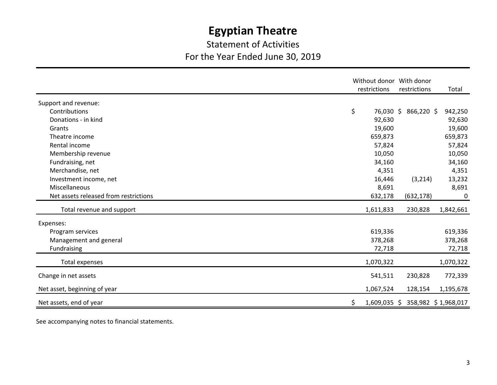# Statement of Activities

For the Year Ended June 30, 2019

|                                       | Without donor With donor<br>restrictions | restrictions | Total     |
|---------------------------------------|------------------------------------------|--------------|-----------|
| Support and revenue:                  |                                          |              |           |
| Contributions                         | \$<br>76,030 \$                          | 866,220\$    | 942,250   |
| Donations - in kind                   | 92,630                                   |              | 92,630    |
| Grants                                | 19,600                                   |              | 19,600    |
| Theatre income                        | 659,873                                  |              | 659,873   |
| Rental income                         | 57,824                                   |              | 57,824    |
| Membership revenue                    | 10,050                                   |              | 10,050    |
| Fundraising, net                      | 34,160                                   |              | 34,160    |
| Merchandise, net                      | 4,351                                    |              | 4,351     |
| Investment income, net                | 16,446                                   | (3, 214)     | 13,232    |
| Miscellaneous                         | 8,691                                    |              | 8,691     |
| Net assets released from restrictions | 632,178                                  | (632, 178)   | 0         |
| Total revenue and support             | 1,611,833                                | 230,828      | 1,842,661 |
| Expenses:                             |                                          |              |           |
| Program services                      | 619,336                                  |              | 619,336   |
| Management and general                | 378,268                                  |              | 378,268   |
| Fundraising                           | 72,718                                   |              | 72,718    |
| <b>Total expenses</b>                 | 1,070,322                                |              | 1,070,322 |
| Change in net assets                  | 541,511                                  | 230,828      | 772,339   |
| Net asset, beginning of year          | 1,067,524                                | 128,154      | 1,195,678 |
| Net assets, end of year               | \$<br>1,609,035 \$ 358,982 \$ 1,968,017  |              |           |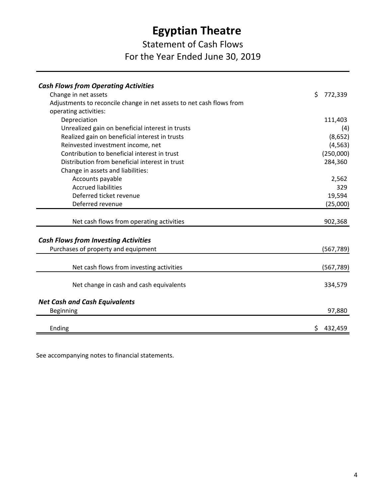Statement of Cash Flows For the Year Ended June 30, 2019

| <b>Cash Flows from Operating Activities</b>                          |               |
|----------------------------------------------------------------------|---------------|
| Change in net assets                                                 | Ś.<br>772,339 |
| Adjustments to reconcile change in net assets to net cash flows from |               |
| operating activities:                                                |               |
| Depreciation                                                         | 111,403       |
| Unrealized gain on beneficial interest in trusts                     | (4)           |
| Realized gain on beneficial interest in trusts                       | (8,652)       |
| Reinvested investment income, net                                    | (4, 563)      |
| Contribution to beneficial interest in trust                         | (250,000)     |
| Distribution from beneficial interest in trust                       | 284,360       |
| Change in assets and liabilities:                                    |               |
| Accounts payable                                                     | 2,562         |
| <b>Accrued liabilities</b>                                           | 329           |
| Deferred ticket revenue                                              | 19,594        |
| Deferred revenue                                                     | (25,000)      |
|                                                                      |               |
| Net cash flows from operating activities                             | 902,368       |
| <b>Cash Flows from Investing Activities</b>                          |               |
| Purchases of property and equipment                                  | (567, 789)    |
|                                                                      |               |
| Net cash flows from investing activities                             | (567, 789)    |
| Net change in cash and cash equivalents                              | 334,579       |
|                                                                      |               |
| <b>Net Cash and Cash Equivalents</b>                                 |               |
| <b>Beginning</b>                                                     | 97,880        |
|                                                                      |               |
| Ending                                                               | 432,459<br>S. |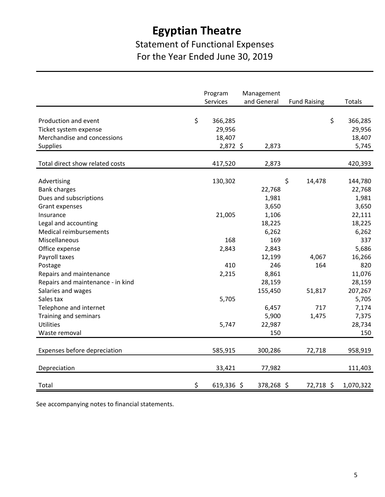# Statement of Functional Expenses For the Year Ended June 30, 2019

|                                               | Program                 | Management  |                     |                         |
|-----------------------------------------------|-------------------------|-------------|---------------------|-------------------------|
|                                               | Services                | and General | <b>Fund Raising</b> | Totals                  |
| Production and event<br>Ticket system expense | \$<br>366,285<br>29,956 |             |                     | \$<br>366,285<br>29,956 |
| Merchandise and concessions                   | 18,407                  |             |                     | 18,407                  |
| Supplies                                      | 2,872 \$                | 2,873       |                     | 5,745                   |
| Total direct show related costs               | 417,520                 | 2,873       |                     | 420,393                 |
|                                               |                         |             |                     |                         |
| Advertising                                   | 130,302                 |             | \$<br>14,478        | 144,780                 |
| <b>Bank charges</b>                           |                         | 22,768      |                     | 22,768                  |
| Dues and subscriptions                        |                         | 1,981       |                     | 1,981                   |
| Grant expenses                                |                         | 3,650       |                     | 3,650                   |
| Insurance                                     | 21,005                  | 1,106       |                     | 22,111                  |
| Legal and accounting                          |                         | 18,225      |                     | 18,225                  |
| <b>Medical reimbursements</b>                 |                         | 6,262       |                     | 6,262                   |
| Miscellaneous                                 | 168                     | 169         |                     | 337                     |
| Office expense                                | 2,843                   | 2,843       |                     | 5,686                   |
| Payroll taxes                                 |                         | 12,199      | 4,067               | 16,266                  |
| Postage                                       | 410                     | 246         | 164                 | 820                     |
| Repairs and maintenance                       | 2,215                   | 8,861       |                     | 11,076                  |
| Repairs and maintenance - in kind             |                         | 28,159      |                     | 28,159                  |
| Salaries and wages                            |                         | 155,450     | 51,817              | 207,267                 |
| Sales tax                                     | 5,705                   |             |                     | 5,705                   |
| Telephone and internet                        |                         | 6,457       | 717                 | 7,174                   |
| Training and seminars                         |                         | 5,900       | 1,475               | 7,375                   |
| <b>Utilities</b>                              | 5,747                   | 22,987      |                     | 28,734                  |
| Waste removal                                 |                         | 150         |                     | 150                     |
|                                               |                         |             |                     |                         |
| Expenses before depreciation                  | 585,915                 | 300,286     | 72,718              | 958,919                 |
| Depreciation                                  | 33,421                  | 77,982      |                     | 111,403                 |
| Total                                         | \$<br>$619,336$ \$      | 378,268 \$  | 72,718 \$           | 1,070,322               |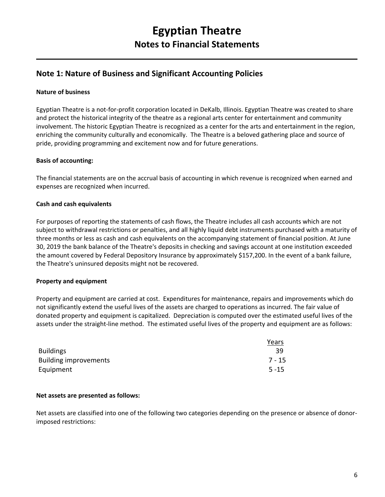# **Note 1: Nature of Business and Significant Accounting Policies**

#### **Nature of business**

Egyptian Theatre is a not-for-profit corporation located in DeKalb, Illinois. Egyptian Theatre was created to share and protect the historical integrity of the theatre as a regional arts center for entertainment and community involvement. The historic Egyptian Theatre is recognized as a center for the arts and entertainment in the region, enriching the community culturally and economically. The Theatre is a beloved gathering place and source of pride, providing programming and excitement now and for future generations.

#### **Basis of accounting:**

The financial statements are on the accrual basis of accounting in which revenue is recognized when earned and expenses are recognized when incurred.

#### **Cash and cash equivalents**

For purposes of reporting the statements of cash flows, the Theatre includes all cash accounts which are not subject to withdrawal restrictions or penalties, and all highly liquid debt instruments purchased with a maturity of three months or less as cash and cash equivalents on the accompanying statement of financial position. At June 30, 2019 the bank balance of the Theatre's deposits in checking and savings account at one institution exceeded the amount covered by Federal Depository Insurance by approximately \$157,200. In the event of a bank failure, the Theatre's uninsured deposits might not be recovered.

#### **Property and equipment**

Property and equipment are carried at cost. Expenditures for maintenance, repairs and improvements which do not significantly extend the useful lives of the assets are charged to operations as incurred. The fair value of donated property and equipment is capitalized. Depreciation is computed over the estimated useful lives of the assets under the straight-line method. The estimated useful lives of the property and equipment are as follows:

|                              | Years    |
|------------------------------|----------|
| <b>Buildings</b>             | 39       |
| <b>Building improvements</b> | 7 - 15   |
| Equipment                    | $5 - 15$ |

#### **Net assets are presented as follows:**

Net assets are classified into one of the following two categories depending on the presence or absence of donorimposed restrictions: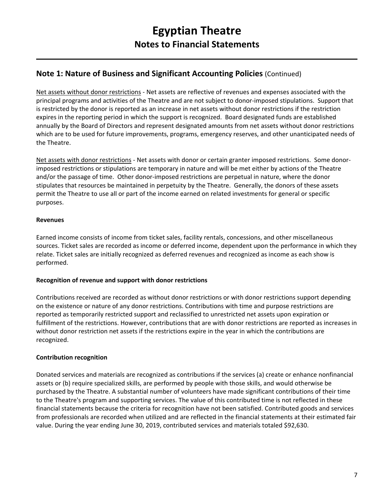# **Note 1: Nature of Business and Significant Accounting Policies** (Continued)

Net assets without donor restrictions - Net assets are reflective of revenues and expenses associated with the principal programs and activities of the Theatre and are not subject to donor-imposed stipulations. Support that is restricted by the donor is reported as an increase in net assets without donor restrictions if the restriction expires in the reporting period in which the support is recognized. Board designated funds are established annually by the Board of Directors and represent designated amounts from net assets without donor restrictions which are to be used for future improvements, programs, emergency reserves, and other unanticipated needs of the Theatre.

Net assets with donor restrictions - Net assets with donor or certain granter imposed restrictions. Some donorimposed restrictions or stipulations are temporary in nature and will be met either by actions of the Theatre and/or the passage of time. Other donor-imposed restrictions are perpetual in nature, where the donor stipulates that resources be maintained in perpetuity by the Theatre. Generally, the donors of these assets permit the Theatre to use all or part of the income earned on related investments for general or specific purposes.

#### **Revenues**

Earned income consists of income from ticket sales, facility rentals, concessions, and other miscellaneous sources. Ticket sales are recorded as income or deferred income, dependent upon the performance in which they relate. Ticket sales are initially recognized as deferred revenues and recognized as income as each show is performed.

#### **Recognition of revenue and support with donor restrictions**

Contributions received are recorded as without donor restrictions or with donor restrictions support depending on the existence or nature of any donor restrictions. Contributions with time and purpose restrictions are reported as temporarily restricted support and reclassified to unrestricted net assets upon expiration or fulfillment of the restrictions. However, contributions that are with donor restrictions are reported as increases in without donor restriction net assets if the restrictions expire in the year in which the contributions are recognized.

#### **Contribution recognition**

Donated services and materials are recognized as contributions if the services (a) create or enhance nonfinancial assets or (b) require specialized skills, are performed by people with those skills, and would otherwise be purchased by the Theatre. A substantial number of volunteers have made significant contributions of their time to the Theatre's program and supporting services. The value of this contributed time is not reflected in these financial statements because the criteria for recognition have not been satisfied. Contributed goods and services from professionals are recorded when utilized and are reflected in the financial statements at their estimated fair value. During the year ending June 30, 2019, contributed services and materials totaled \$92,630.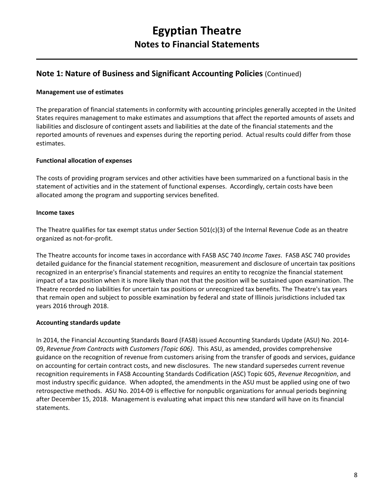# **Note 1: Nature of Business and Significant Accounting Policies** (Continued)

#### **Management use of estimates**

The preparation of financial statements in conformity with accounting principles generally accepted in the United States requires management to make estimates and assumptions that affect the reported amounts of assets and liabilities and disclosure of contingent assets and liabilities at the date of the financial statements and the reported amounts of revenues and expenses during the reporting period. Actual results could differ from those estimates.

#### **Functional allocation of expenses**

The costs of providing program services and other activities have been summarized on a functional basis in the statement of activities and in the statement of functional expenses. Accordingly, certain costs have been allocated among the program and supporting services benefited.

#### **Income taxes**

The Theatre qualifies for tax exempt status under Section 501(c)(3) of the Internal Revenue Code as an theatre organized as not-for-profit.

The Theatre accounts for income taxes in accordance with FASB ASC 740 *Income Taxes*. FASB ASC 740 provides detailed guidance for the financial statement recognition, measurement and disclosure of uncertain tax positions recognized in an enterprise's financial statements and requires an entity to recognize the financial statement impact of a tax position when it is more likely than not that the position will be sustained upon examination. The Theatre recorded no liabilities for uncertain tax positions or unrecognized tax benefits. The Theatre's tax years that remain open and subject to possible examination by federal and state of Illinois jurisdictions included tax years 2016 through 2018.

#### **Accounting standards update**

In 2014, the Financial Accounting Standards Board (FASB) issued Accounting Standards Update (ASU) No. 2014- 09, *Revenue from Contracts with Customers (Topic 606)*. This ASU, as amended, provides comprehensive guidance on the recognition of revenue from customers arising from the transfer of goods and services, guidance on accounting for certain contract costs, and new disclosures. The new standard supersedes current revenue recognition requirements in FASB Accounting Standards Codification (ASC) Topic 605, *Revenue Recognition*, and most industry specific guidance. When adopted, the amendments in the ASU must be applied using one of two retrospective methods. ASU No. 2014-09 is effective for nonpublic organizations for annual periods beginning after December 15, 2018. Management is evaluating what impact this new standard will have on its financial statements.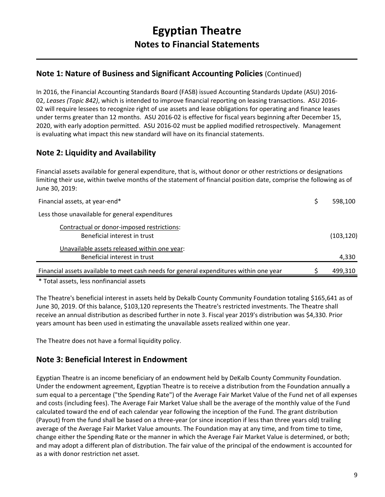# **Note 1: Nature of Business and Significant Accounting Policies** (Continued)

In 2016, the Financial Accounting Standards Board (FASB) issued Accounting Standards Update (ASU) 2016- 02, *Leases (Topic 842)*, which is intended to improve financial reporting on leasing transactions. ASU 2016- 02 will require lessees to recognize right of use assets and lease obligations for operating and finance leases under terms greater than 12 months. ASU 2016-02 is effective for fiscal years beginning after December 15, 2020, with early adoption permitted. ASU 2016-02 must be applied modified retrospectively. Management is evaluating what impact this new standard will have on its financial statements.

# **Note 2: Liquidity and Availability**

Financial assets available for general expenditure, that is, without donor or other restrictions or designations limiting their use, within twelve months of the statement of financial position date, comprise the following as of June 30, 2019:

| Financial assets, at year-end*                                                         | 598,100    |
|----------------------------------------------------------------------------------------|------------|
| Less those unavailable for general expenditures                                        |            |
| Contractual or donor-imposed restrictions:<br>Beneficial interest in trust             | (103, 120) |
| Unavailable assets released within one year:                                           |            |
| Beneficial interest in trust                                                           | 4,330      |
| Financial assets available to meet cash needs for general expenditures within one year | 499,310    |

\* Total assets, less nonfinancial assets

The Theatre's beneficial interest in assets held by Dekalb County Community Foundation totaling \$165,641 as of June 30, 2019. Of this balance, \$103,120 represents the Theatre's restricted investments. The Theatre shall receive an annual distribution as described further in note 3. Fiscal year 2019's distribution was \$4,330. Prior years amount has been used in estimating the unavailable assets realized within one year.

The Theatre does not have a formal liquidity policy.

# **Note 3: Beneficial Interest in Endowment**

Egyptian Theatre is an income beneficiary of an endowment held by DeKalb County Community Foundation. Under the endowment agreement, Egyptian Theatre is to receive a distribution from the Foundation annually a sum equal to a percentage ("the Spending Rate") of the Average Fair Market Value of the Fund net of all expenses and costs (including fees). The Average Fair Market Value shall be the average of the monthly value of the Fund calculated toward the end of each calendar year following the inception of the Fund. The grant distribution (Payout) from the fund shall be based on a three-year (or since inception if less than three years old) trailing average of the Average Fair Market Value amounts. The Foundation may at any time, and from time to time, change either the Spending Rate or the manner in which the Average Fair Market Value is determined, or both; and may adopt a different plan of distribution. The fair value of the principal of the endowment is accounted for as a with donor restriction net asset.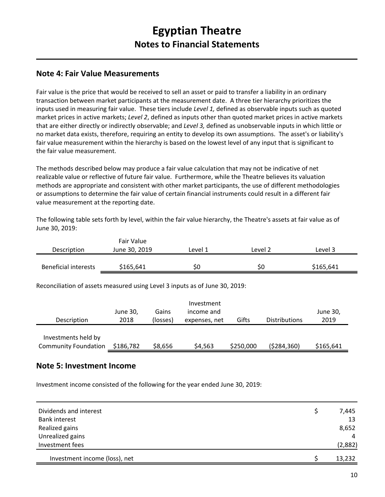## **Note 4: Fair Value Measurements**

Fair value is the price that would be received to sell an asset or paid to transfer a liability in an ordinary transaction between market participants at the measurement date. A three tier hierarchy prioritizes the inputs used in measuring fair value. These tiers include *Level 1,* defined as observable inputs such as quoted market prices in active markets; *Level 2*, defined as inputs other than quoted market prices in active markets that are either directly or indirectly observable; and *Level 3,* defined as unobservable inputs in which little or no market data exists, therefore, requiring an entity to develop its own assumptions. The asset's or liability's fair value measurement within the hierarchy is based on the lowest level of any input that is significant to the fair value measurement.

The methods described below may produce a fair value calculation that may not be indicative of net realizable value or reflective of future fair value. Furthermore, while the Theatre believes its valuation methods are appropriate and consistent with other market participants, the use of different methodologies or assumptions to determine the fair value of certain financial instruments could result in a different fair value measurement at the reporting date.

The following table sets forth by level, within the fair value hierarchy, the Theatre's assets at fair value as of June 30, 2019:

| Fair Value    |         |         |           |
|---------------|---------|---------|-----------|
| June 30, 2019 | Level 1 | Level 2 | Level 3   |
|               |         |         |           |
| \$165,641     | S0      | \$0     | \$165,641 |
|               |         |         |           |

Reconciliation of assets measured using Level 3 inputs as of June 30, 2019:

| Description                                        | June 30,<br>2018 | Gains<br>(losses) | Investment<br>income and<br>expenses, net | Gifts     | <b>Distributions</b> | June 30,<br>2019 |
|----------------------------------------------------|------------------|-------------------|-------------------------------------------|-----------|----------------------|------------------|
| Investments held by<br><b>Community Foundation</b> | \$186,782        | \$8,656           | \$4,563                                   | \$250,000 | (5284, 360)          | \$165,641        |

## **Note 5: Investment Income**

Investment income consisted of the following for the year ended June 30, 2019:

| Dividends and interest        | 7,445          |
|-------------------------------|----------------|
| Bank interest                 | 13             |
| Realized gains                | 8,652          |
| Unrealized gains              | $\overline{4}$ |
| Investment fees               | (2,882)        |
| Investment income (loss), net | 13,232         |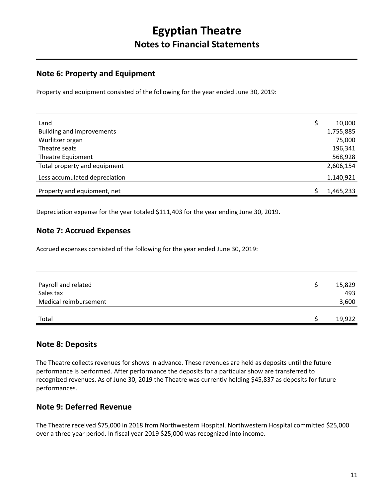# **Note 6: Property and Equipment**

Property and equipment consisted of the following for the year ended June 30, 2019:

| Land                             | 10,000    |
|----------------------------------|-----------|
| <b>Building and improvements</b> | 1,755,885 |
| Wurlitzer organ                  | 75,000    |
| Theatre seats                    | 196,341   |
| Theatre Equipment                | 568,928   |
| Total property and equipment     | 2,606,154 |
| Less accumulated depreciation    | 1,140,921 |
| Property and equipment, net      | 1,465,233 |

Depreciation expense for the year totaled \$111,403 for the year ending June 30, 2019.

## **Note 7: Accrued Expenses**

Accrued expenses consisted of the following for the year ended June 30, 2019:

| Payroll and related<br>Sales tax | 15,829<br>493 |
|----------------------------------|---------------|
| Medical reimbursement            | 3,600         |
| Total                            | 19,922        |

## **Note 8: Deposits**

The Theatre collects revenues for shows in advance. These revenues are held as deposits until the future performance is performed. After performance the deposits for a particular show are transferred to recognized revenues. As of June 30, 2019 the Theatre was currently holding \$45,837 as deposits for future performances.

## **Note 9: Deferred Revenue**

The Theatre received \$75,000 in 2018 from Northwestern Hospital. Northwestern Hospital committed \$25,000 over a three year period. In fiscal year 2019 \$25,000 was recognized into income.